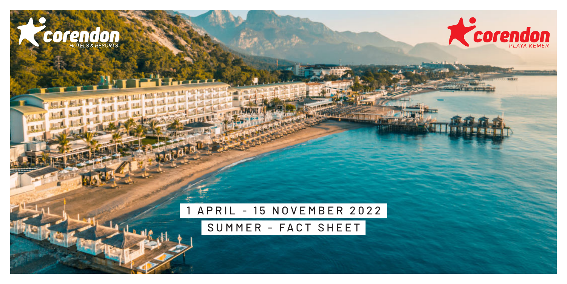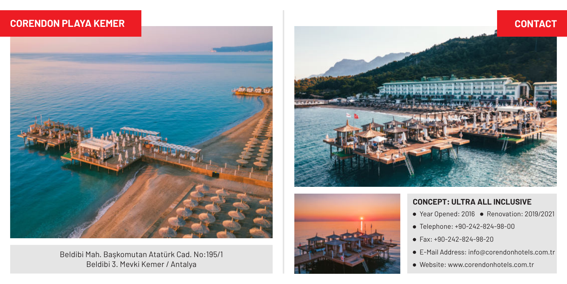### **CORENDON PLAYA KEMER**



Beldibi Mah. Başkomutan Atatürk Cad. No:195/1 Beldibi 3. Mevki Kemer / Antalya





#### **CONCEPT: ULTRA ALL INCLUSIVE**

- Year Opened: 2016 Renovation: 2019/2021
- Telephone: +90-242-824-98-00
- Fax: +90-242-824-98-20
- E-Mail Address: info@corendonhotels.com.tr
- Website: www.corendonhotels.com.tr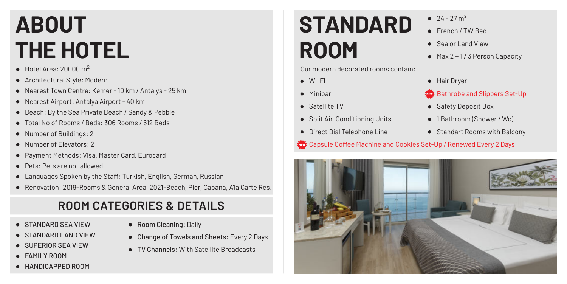# **ABOUT THE HOTEL**

- $\bullet$  Hotel Area: 20000 m<sup>2</sup>
- Architectural Style: Modern
- Nearest Town Centre: Kemer 10 km / Antalya 25 km
- Nearest Airport: Antalya Airport 40 km
- Beach: By the Sea Private Beach / Sandy & Pebble
- Total No of Rooms / Beds: 306 Rooms / 612 Beds
- Number of Buildings: 2
- Number of Elevators: 2
- Payment Methods: Visa, Master Card, Eurocard
- Pets: Pets are not allowed.
- Languages Spoken by the Staff: Turkish, English, German, Russian
- Renovation: 2019-Rooms & General Area, 2021-Beach, Pier, Cabana, A'la Carte Res.

## **ROOM CATEGORIES & DETAILS**

- STANDARD SEA VIEW
- STANDARD LAND VIEW
- SUPERIOR SEA VIEW
- **FAMILY ROOM**
- HANDICAPPED ROOM
- Room Cleaning: Daily
- Change of Towels and Sheets: Every 2 Days
- TV Channels: With Satellite Broadcasts

## **STANDARD ROOM**

Our modern decorated rooms contain;

- WI-FI
- Minibar
- 
- Split Air-Conditioning Units
- **•** Direct Dial Telephone Line
- Capsule Coffee Machine and Cookies Set-Up / Renewed Every 2 Days



- French / TW Bed
- Sea or Land View
- $\bullet$  Max 2 + 1/3 Person Capacity
- **•** Hair Drver
- Bathrobe and Slippers Set-Up
- Satellite TV Safety Deposit Box
	- 1 Bathroom (Shower / Wc)
	- Standart Rooms with Balcony

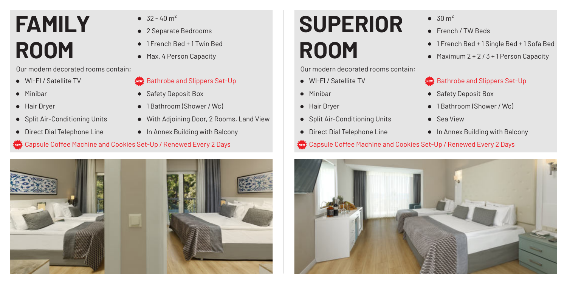# **FAMILY ROOM**

Our modern decorated rooms contain;

- WI-FI / Satellite TV
- Minibar
- **+** Hair Dryer
- Split Air-Conditioning Units
- Direct Dial Telephone Line
- $\bullet$  32 40 m<sup>2</sup>
- 2 Separate Bedrooms
- 1 French Bed + 1 Twin Bed
- Max. 4 Person Capacity
- Bathrobe and Slippers Set-Up
- Safety Deposit Box
- 1 Bathroom (Shower / Wc)
- With Adjoining Door, 2 Rooms, Land View
- In Annex Building with Balcony

#### Capsule Coffee Machine and Cookies Set-Up / Renewed Every 2 Days



## **SUPERIOR ROOM**

Our modern decorated rooms contain;

- WI-FI / Satellite TV
- **•** Minibar
- **+** Hair Dryer
- Split Air-Conditioning Units
- **•** Direct Dial Telephone Line
- Capsule Coffee Machine and Cookies Set-Up / Renewed Every 2 Days



- $\bullet$  30 m<sup>2</sup>
- **•** French / TW Beds
- 1 French Bed + 1 Single Bed + 1 Sofa Bed
- $\bullet$  Maximum 2 + 2 / 3 + 1 Person Capacity

### Bathrobe and Slippers Set-Up

- Safety Deposit Box
- **1 Bathroom (Shower / Wc)**
- 
- In Annex Building with Balcony
- Sea View
	-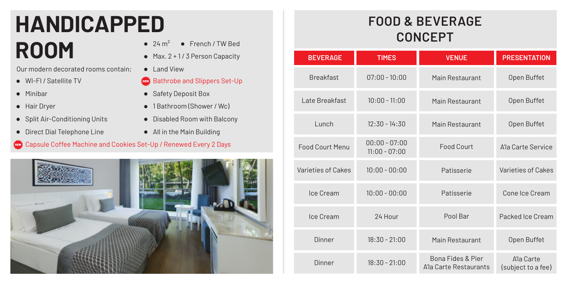# **HANDICAPPED** ROOM <br>**24 m<sup>2</sup> • French / TW Bed**<br>**24 m<sup>2</sup> • French / TW Bed**

Our modern decorated rooms contain;

- WI-FI / Satellite TV
- Minibar
- Hair Dryer
- Split Air-Conditioning Units
- Direct Dial Telephone Line
- 
- $Max. 2 + 1/3$  Person Capacity
- Land View
- Bathrobe and Slippers Set-Up
- Safety Deposit Box
- 1 Bathroom (Shower / Wc)
- Disabled Room with Balcony
- All in the Main Building

#### Capsule Coffee Machine and Cookies Set-Up / Renewed Every 2 Days



## **FOOD & BEVERAGE CONCEPT**

| <b>BEVERAGE</b>        | <b>TIMES</b>                       | <b>VENUE</b>                                | <b>PRESENTATION</b>              |
|------------------------|------------------------------------|---------------------------------------------|----------------------------------|
| <b>Breakfast</b>       | $07:00 - 10:00$                    | Main Restaurant                             | Open Buffet                      |
| Late Breakfast         | $10:00 - 11:00$                    | Main Restaurant                             | Open Buffet                      |
| Lunch                  | $12:30 - 14:30$                    | Main Restaurant                             | Open Buffet                      |
| <b>Food Court Menu</b> | $00:00 - 07:00$<br>$11:00 - 07:00$ | Food Court                                  | A'la Carte Service               |
| Varieties of Cakes     | $10:00 - 00:00$                    | Patisserie                                  | Varieties of Cakes               |
| Ice Cream              | $10:00 - 00:00$                    | Patisserie                                  | Cone Ice Cream                   |
| Ice Cream              | 24 Hour                            | Pool Bar                                    | Packed Ice Cream                 |
| Dinner                 | $18:30 - 21:00$                    | Main Restaurant                             | Open Buffet                      |
| Dinner                 | $18:30 - 21:00$                    | Bona Fides & Pier<br>A'la Carte Restaurants | A'la Carte<br>(subject to a fee) |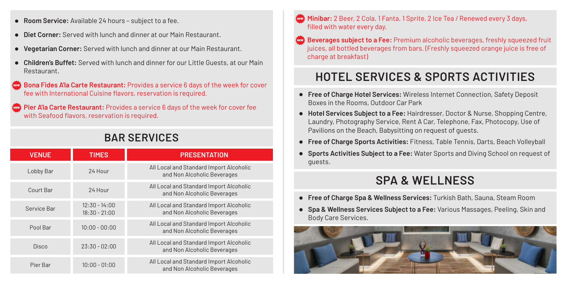- **Room Service:** Available 24 hours subject to a fee.
- **Diet Corner:** Served with lunch and dinner at our Main Restaurant.
- **Vegetarian Corner:** Served with lunch and dinner at our Main Restaurant.
- **Children's Buffet:** Served with lunch and dinner for our Little Guests, at our Main Restaurant.
- **Bona Fides A'la Carte Restaurant:** Provides a service 6 days of the week for cover fee with International Cuisine flavors, reservation is required.

**Pier A'la Carte Restaurant:** Provides a service 6 days of the week for cover fee with Seafood flavors, reservation is required.

### **BAR SERVICES**

| <b>VENUE</b> | <b>TIMES</b>                       | <b>PRESENTATION</b>                                                    |
|--------------|------------------------------------|------------------------------------------------------------------------|
| Lobby Bar    | 24 Hour                            | All Local and Standard Import Alcoholic<br>and Non Alcoholic Beverages |
| Court Bar    | 24 Hour                            | All Local and Standard Import Alcoholic<br>and Non Alcoholic Beverages |
| Service Bar  | $12:30 - 14:00$<br>$18:30 - 21:00$ | All Local and Standard Import Alcoholic<br>and Non Alcoholic Beverages |
| Pool Bar     | $10:00 - 00:00$                    | All Local and Standard Import Alcoholic<br>and Non Alcoholic Beverages |
| Disco        | $23:30 - 02:00$                    | All Local and Standard Import Alcoholic<br>and Non Alcoholic Beverages |
| Pier Bar     | $10:00 - 01:00$                    | All Local and Standard Import Alcoholic<br>and Non Alcoholic Beverages |

- **Minibar:** 2 Beer, 2 Cola, 1 Fanta, 1 Sprite, 2 Ice Tea / Renewed every 3 days, filled with water every day.
- **Beverages subject to a Fee:** Premium alcoholic beverages, freshly squeezed fruit juices, all bottled beverages from bars. (Freshly squeezed orange juice is free of charge at breakfast)

### **HOTEL SERVICES & SPORTS ACTIVITIES**

- **Free of Charge Hotel Services:** Wireless Internet Connection, Safety Deposit Boxes in the Rooms, Outdoor Car Park
- **Hotel Services Subject to a Fee:** Hairdresser, Doctor & Nurse, Shopping Centre, Laundry, Photography Service, Rent A Car, Telephone, Fax, Photocopy, Use of Pavilions on the Beach, Babysitting on request of guests.
- **Free of Charge Sports Activities:** Fitness, Table Tennis, Darts, Beach Volleyball
- **Sports Activities Subject to a Fee:** Water Sports and Diving School on request of guests.

### **SPA & WELLNESS**

- **Free of Charge Spa & Wellness Services:** Turkish Bath, Sauna, Steam Room
- **Spa & Wellness Services Subject to a Fee:** Various Massages, Peeling, Skin and Body Care Services.